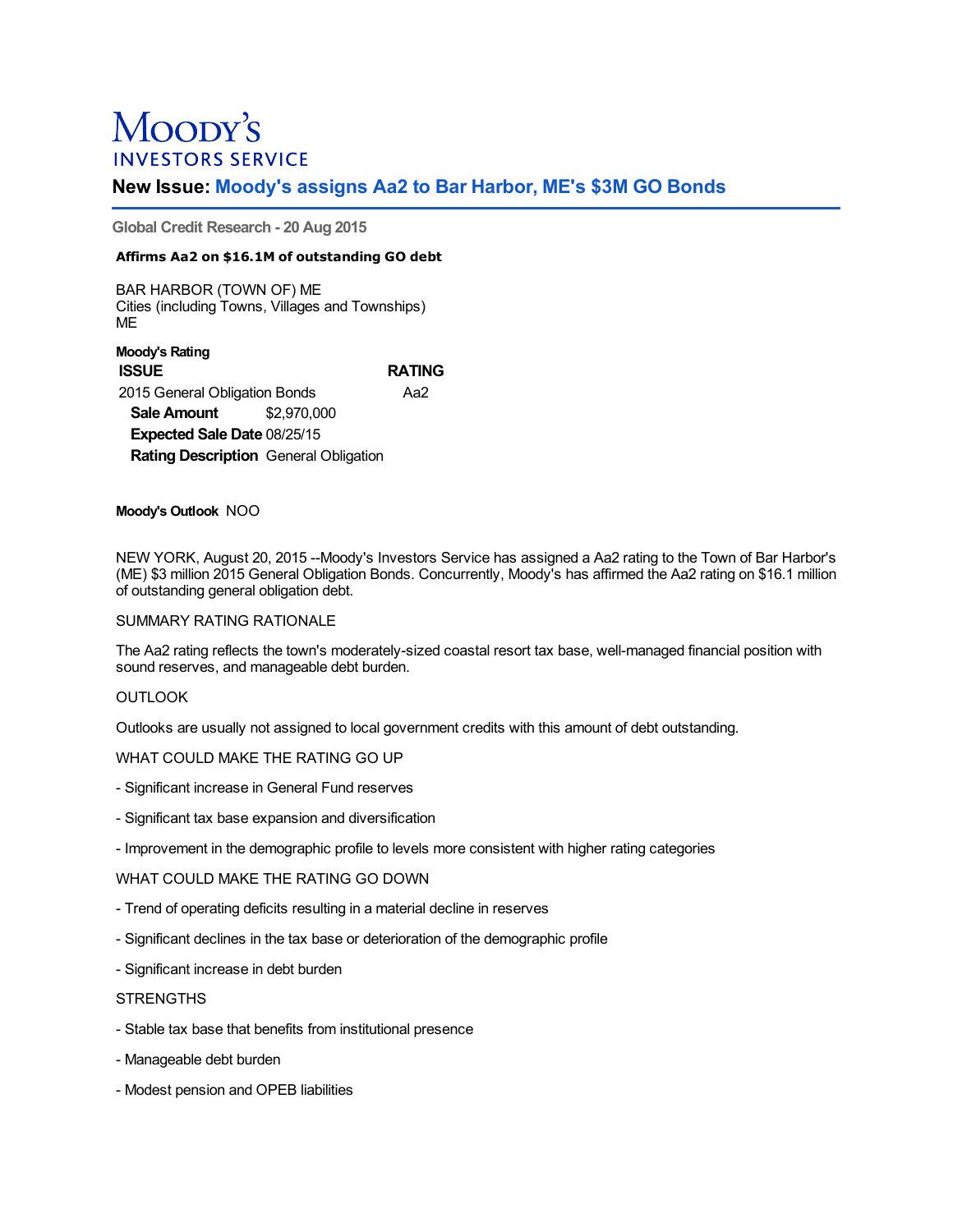# Moody's **INVESTORS SERVICE**

## **New Issue: Moody's assigns Aa2 to Bar Harbor, ME's \$3M GO Bonds**

**Global Credit Research - 20 Aug 2015**

## **Affirms Aa2 on \$16.1M of outstanding GO debt**

BAR HARBOR (TOWN OF) ME Cities (including Towns, Villages and Townships) ME

**Moody's Rating ISSUE RATING** 2015 General Obligation Bonds Aa2 **Sale Amount** \$2,970,000 **Expected Sale Date** 08/25/15 **Rating Description** General Obligation

#### **Moody's Outlook** NOO

NEW YORK, August 20, 2015 --Moody's Investors Service has assigned a Aa2 rating to the Town of Bar Harbor's (ME) \$3 million 2015 General Obligation Bonds. Concurrently, Moody's has affirmed the Aa2 rating on \$16.1 million of outstanding general obligation debt.

#### SUMMARY RATING RATIONALE

The Aa2 rating reflects the town's moderately-sized coastal resort tax base, well-managed financial position with sound reserves, and manageable debt burden.

## **OUTLOOK**

Outlooks are usually not assigned to local government credits with this amount of debt outstanding.

## WHAT COULD MAKE THE RATING GO UP

- Significant increase in General Fund reserves
- Significant tax base expansion and diversification
- Improvement in the demographic profile to levels more consistent with higher rating categories

#### WHAT COULD MAKE THE RATING GO DOWN

- Trend of operating deficits resulting in a material decline in reserves
- Significant declines in the tax base or deterioration of the demographic profile
- Significant increase in debt burden

## **STRENGTHS**

- Stable tax base that benefits from institutional presence
- Manageable debt burden
- Modest pension and OPEB liabilities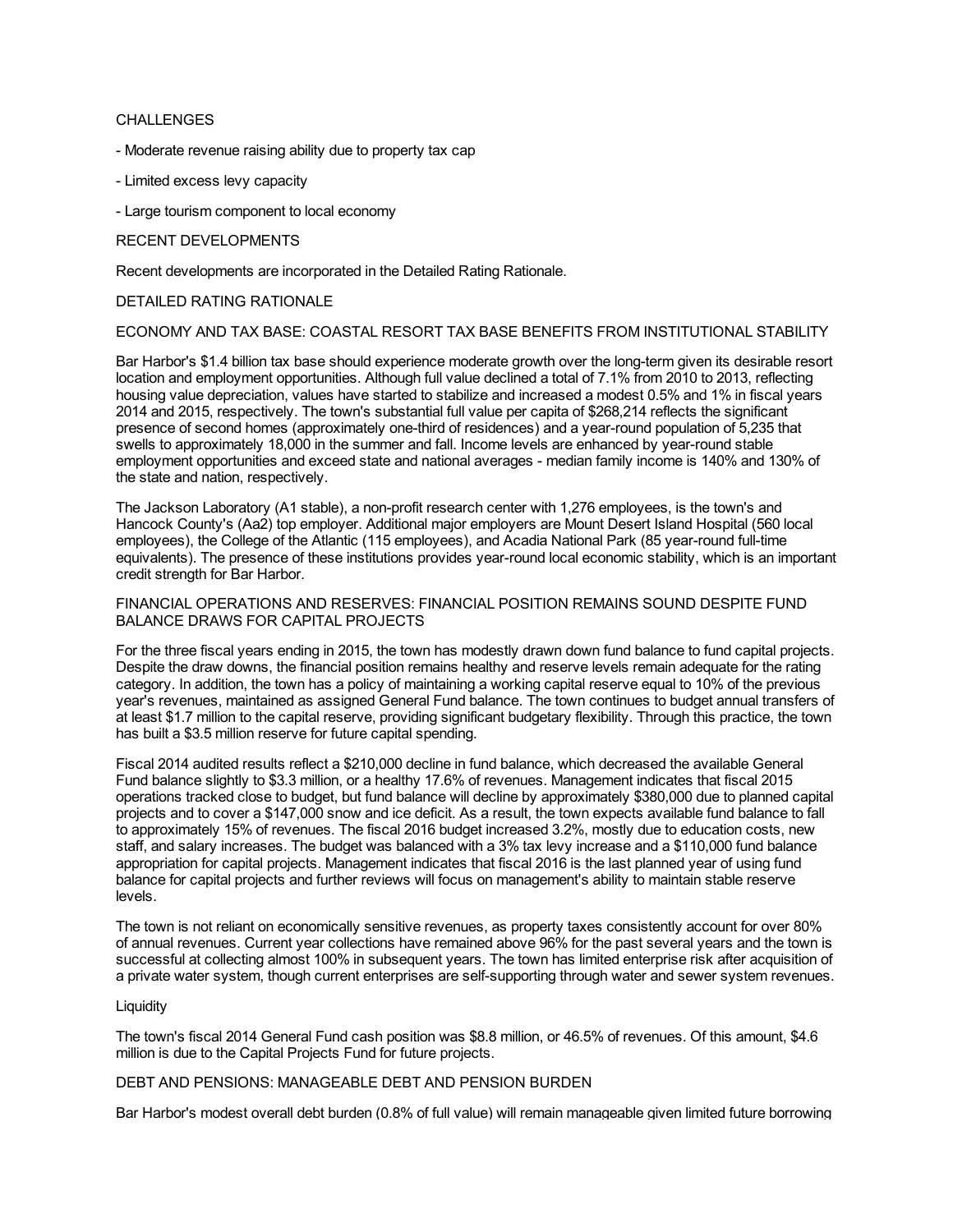## CHALLENGES

- Moderate revenue raising ability due to property tax cap
- Limited excess levy capacity
- Large tourism component to local economy

#### RECENT DEVELOPMENTS

Recent developments are incorporated in the Detailed Rating Rationale.

#### DETAILED RATING RATIONALE

## ECONOMY AND TAX BASE: COASTAL RESORT TAX BASE BENEFITS FROM INSTITUTIONAL STABILITY

Bar Harbor's \$1.4 billion tax base should experience moderate growth over the long-term given its desirable resort location and employment opportunities. Although full value declined a total of 7.1% from 2010 to 2013, reflecting housing value depreciation, values have started to stabilize and increased a modest 0.5% and 1% in fiscal years 2014 and 2015, respectively. The town's substantial full value per capita of \$268,214 reflects the significant presence of second homes (approximately one-third of residences) and a year-round population of 5,235 that swells to approximately 18,000 in the summer and fall. Income levels are enhanced by year-round stable employment opportunities and exceed state and national averages - median family income is 140% and 130% of the state and nation, respectively.

The Jackson Laboratory (A1 stable), a non-profit research center with 1,276 employees, is the town's and Hancock County's (Aa2) top employer. Additional major employers are Mount Desert Island Hospital (560 local employees), the College of the Atlantic (115 employees), and Acadia National Park (85 year-round full-time equivalents). The presence of these institutions provides year-round local economic stability, which is an important credit strength for Bar Harbor.

#### FINANCIAL OPERATIONS AND RESERVES: FINANCIAL POSITION REMAINS SOUND DESPITE FUND BALANCE DRAWS FOR CAPITAL PROJECTS

For the three fiscal years ending in 2015, the town has modestly drawn down fund balance to fund capital projects. Despite the draw downs, the financial position remains healthy and reserve levels remain adequate for the rating category. In addition, the town has a policy of maintaining a working capital reserve equal to 10% of the previous year's revenues, maintained as assigned General Fund balance. The town continues to budget annual transfers of at least \$1.7 million to the capital reserve, providing significant budgetary flexibility. Through this practice, the town has built a \$3.5 million reserve for future capital spending.

Fiscal 2014 audited results reflect a \$210,000 decline in fund balance, which decreased the available General Fund balance slightly to \$3.3 million, or a healthy 17.6% of revenues. Management indicates that fiscal 2015 operations tracked close to budget, but fund balance will decline by approximately \$380,000 due to planned capital projects and to cover a \$147,000 snow and ice deficit. As a result, the town expects available fund balance to fall to approximately 15% of revenues. The fiscal 2016 budget increased 3.2%, mostly due to education costs, new staff, and salary increases. The budget was balanced with a 3% tax levy increase and a \$110,000 fund balance appropriation for capital projects. Management indicates that fiscal 2016 is the last planned year of using fund balance for capital projects and further reviews will focus on management's ability to maintain stable reserve levels.

The town is not reliant on economically sensitive revenues, as property taxes consistently account for over 80% of annual revenues. Current year collections have remained above 96% for the past several years and the town is successful at collecting almost 100% in subsequent years. The town has limited enterprise risk after acquisition of a private water system, though current enterprises are self-supporting through water and sewer system revenues.

#### **Liquidity**

The town's fiscal 2014 General Fund cash position was \$8.8 million, or 46.5% of revenues. Of this amount, \$4.6 million is due to the Capital Projects Fund for future projects.

#### DEBT AND PENSIONS: MANAGEABLE DEBT AND PENSION BURDEN

Bar Harbor's modest overall debt burden (0.8% of full value) will remain manageable given limited future borrowing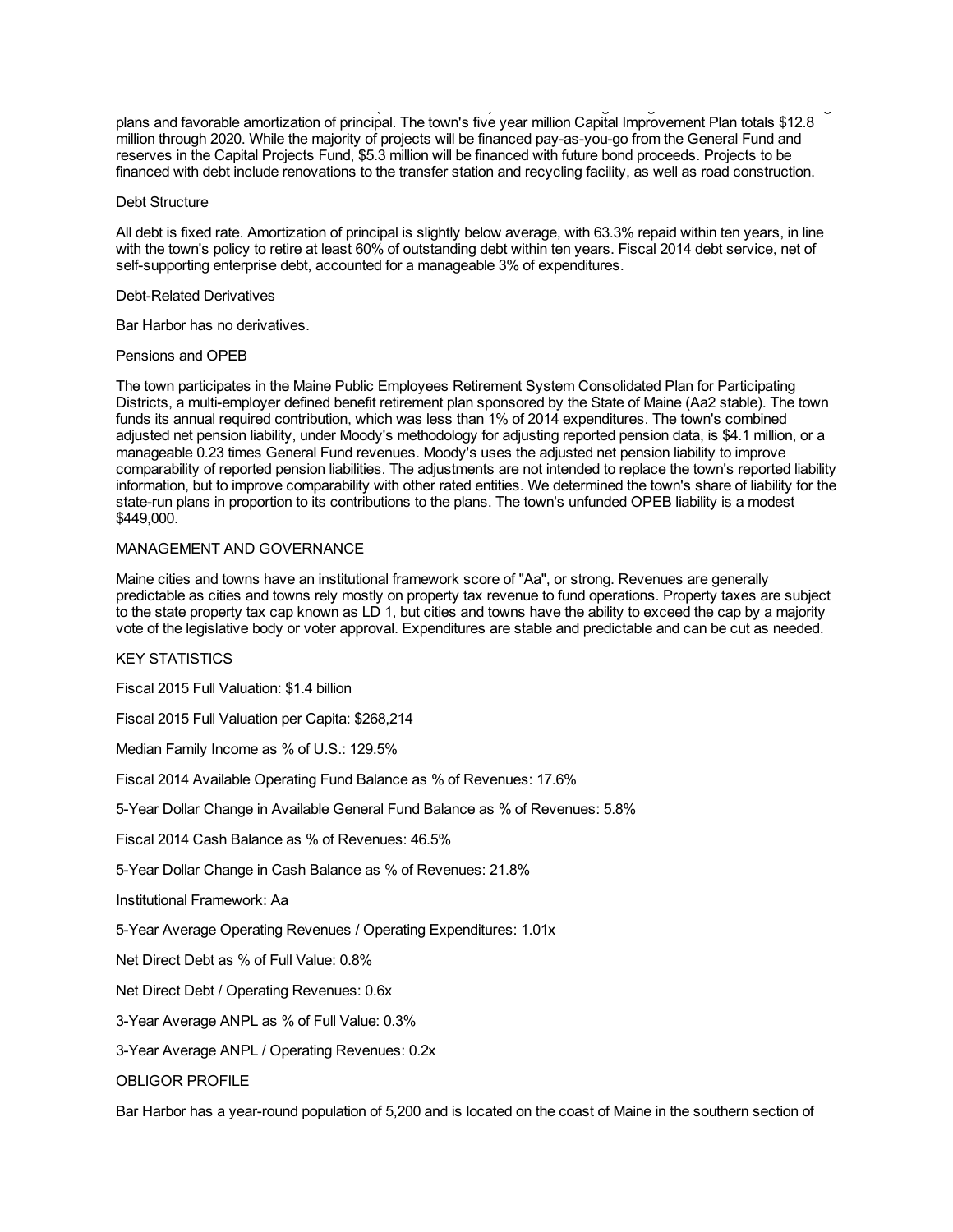$\mathcal{B}(\mathcal{A})$  modest overall debt burden (0.8% of function  $\mathcal{B}(\mathcal{A})$  remain manageable given limited function  $\mathcal{B}(\mathcal{A})$ plans and favorable amortization of principal. The town's five year million Capital Improvement Plan totals \$12.8 million through 2020. While the majority of projects will be financed pay-as-you-go from the General Fund and reserves in the Capital Projects Fund, \$5.3 million will be financed with future bond proceeds. Projects to be financed with debt include renovations to the transfer station and recycling facility, as well as road construction.

#### Debt Structure

All debt is fixed rate. Amortization of principal is slightly below average, with 63.3% repaid within ten years, in line with the town's policy to retire at least 60% of outstanding debt within ten years. Fiscal 2014 debt service, net of self-supporting enterprise debt, accounted for a manageable 3% of expenditures.

#### Debt-Related Derivatives

Bar Harbor has no derivatives.

#### Pensions and OPEB

The town participates in the Maine Public Employees Retirement System Consolidated Plan for Participating Districts, a multi-employer defined benefit retirement plan sponsored by the State of Maine (Aa2 stable). The town funds its annual required contribution, which was less than 1% of 2014 expenditures. The town's combined adjusted net pension liability, under Moody's methodology for adjusting reported pension data, is \$4.1 million, or a manageable 0.23 times General Fund revenues. Moody's uses the adjusted net pension liability to improve comparability of reported pension liabilities. The adjustments are not intended to replace the town's reported liability information, but to improve comparability with other rated entities. We determined the town's share of liability for the state-run plans in proportion to its contributions to the plans. The town's unfunded OPEB liability is a modest \$449,000.

## MANAGEMENT AND GOVERNANCE

Maine cities and towns have an institutional framework score of "Aa", or strong. Revenues are generally predictable as cities and towns rely mostly on property tax revenue to fund operations. Property taxes are subject to the state property tax cap known as LD 1, but cities and towns have the ability to exceed the cap by a majority vote of the legislative body or voter approval. Expenditures are stable and predictable and can be cut as needed.

## KEY STATISTICS

Fiscal 2015 Full Valuation: \$1.4 billion

Fiscal 2015 Full Valuation per Capita: \$268,214

Median Family Income as % of U.S.: 129.5%

Fiscal 2014 Available Operating Fund Balance as % of Revenues: 17.6%

5-Year Dollar Change in Available General Fund Balance as % of Revenues: 5.8%

Fiscal 2014 Cash Balance as % of Revenues: 46.5%

5-Year Dollar Change in Cash Balance as % of Revenues: 21.8%

Institutional Framework: Aa

5-Year Average Operating Revenues / Operating Expenditures: 1.01x

Net Direct Debt as % of Full Value: 0.8%

Net Direct Debt / Operating Revenues: 0.6x

3-Year Average ANPL as % of Full Value: 0.3%

3-Year Average ANPL / Operating Revenues: 0.2x

OBLIGOR PROFILE

Bar Harbor has a year-round population of 5,200 and is located on the coast of Maine in the southern section of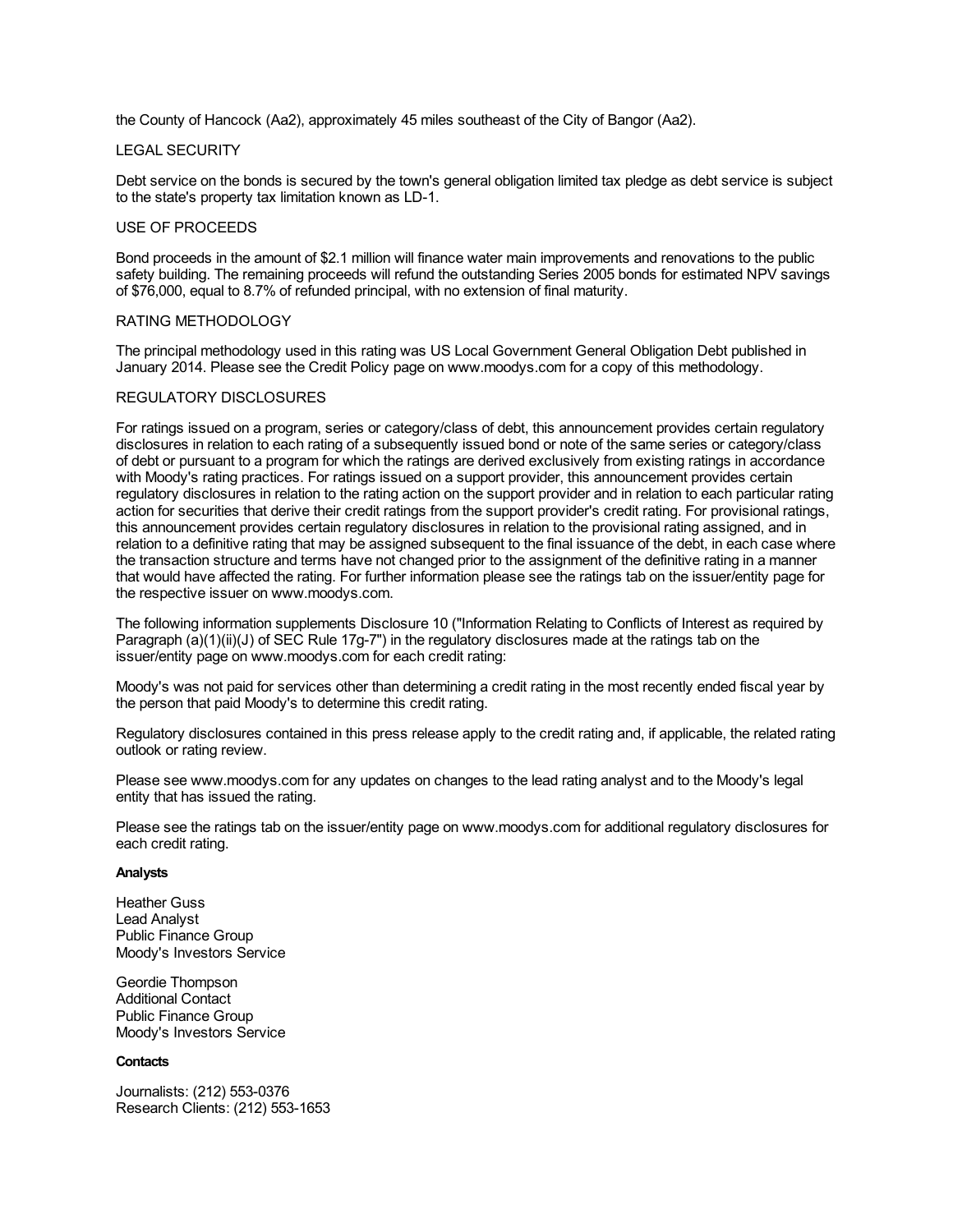the County of Hancock (Aa2), approximately 45 miles southeast of the City of Bangor (Aa2).

## LEGAL SECURITY

Debt service on the bonds is secured by the town's general obligation limited tax pledge as debt service is subject to the state's property tax limitation known as LD-1.

## USE OF PROCEEDS

Bond proceeds in the amount of \$2.1 million will finance water main improvements and renovations to the public safety building. The remaining proceeds will refund the outstanding Series 2005 bonds for estimated NPV savings of \$76,000, equal to 8.7% of refunded principal, with no extension of final maturity.

## RATING METHODOLOGY

The principal methodology used in this rating was US Local Government General Obligation Debt published in January 2014. Please see the Credit Policy page on www.moodys.com for a copy of this methodology.

## REGULATORY DISCLOSURES

For ratings issued on a program, series or category/class of debt, this announcement provides certain regulatory disclosures in relation to each rating of a subsequently issued bond or note of the same series or category/class of debt or pursuant to a program for which the ratings are derived exclusively from existing ratings in accordance with Moody's rating practices. For ratings issued on a support provider, this announcement provides certain regulatory disclosures in relation to the rating action on the support provider and in relation to each particular rating action for securities that derive their credit ratings from the support provider's credit rating. For provisional ratings, this announcement provides certain regulatory disclosures in relation to the provisional rating assigned, and in relation to a definitive rating that may be assigned subsequent to the final issuance of the debt, in each case where the transaction structure and terms have not changed prior to the assignment of the definitive rating in a manner that would have affected the rating. For further information please see the ratings tab on the issuer/entity page for the respective issuer on www.moodys.com.

The following information supplements Disclosure 10 ("Information Relating to Conflicts of Interest as required by Paragraph (a)(1)(ii)(J) of SEC Rule 17g-7") in the regulatory disclosures made at the ratings tab on the issuer/entity page on www.moodys.com for each credit rating:

Moody's was not paid for services other than determining a credit rating in the most recently ended fiscal year by the person that paid Moody's to determine this credit rating.

Regulatory disclosures contained in this press release apply to the credit rating and, if applicable, the related rating outlook or rating review.

Please see www.moodys.com for any updates on changes to the lead rating analyst and to the Moody's legal entity that has issued the rating.

Please see the ratings tab on the issuer/entity page on www.moodys.com for additional regulatory disclosures for each credit rating.

#### **Analysts**

Heather Guss Lead Analyst Public Finance Group Moody's Investors Service

Geordie Thompson Additional Contact Public Finance Group Moody's Investors Service

## **Contacts**

Journalists: (212) 553-0376 Research Clients: (212) 553-1653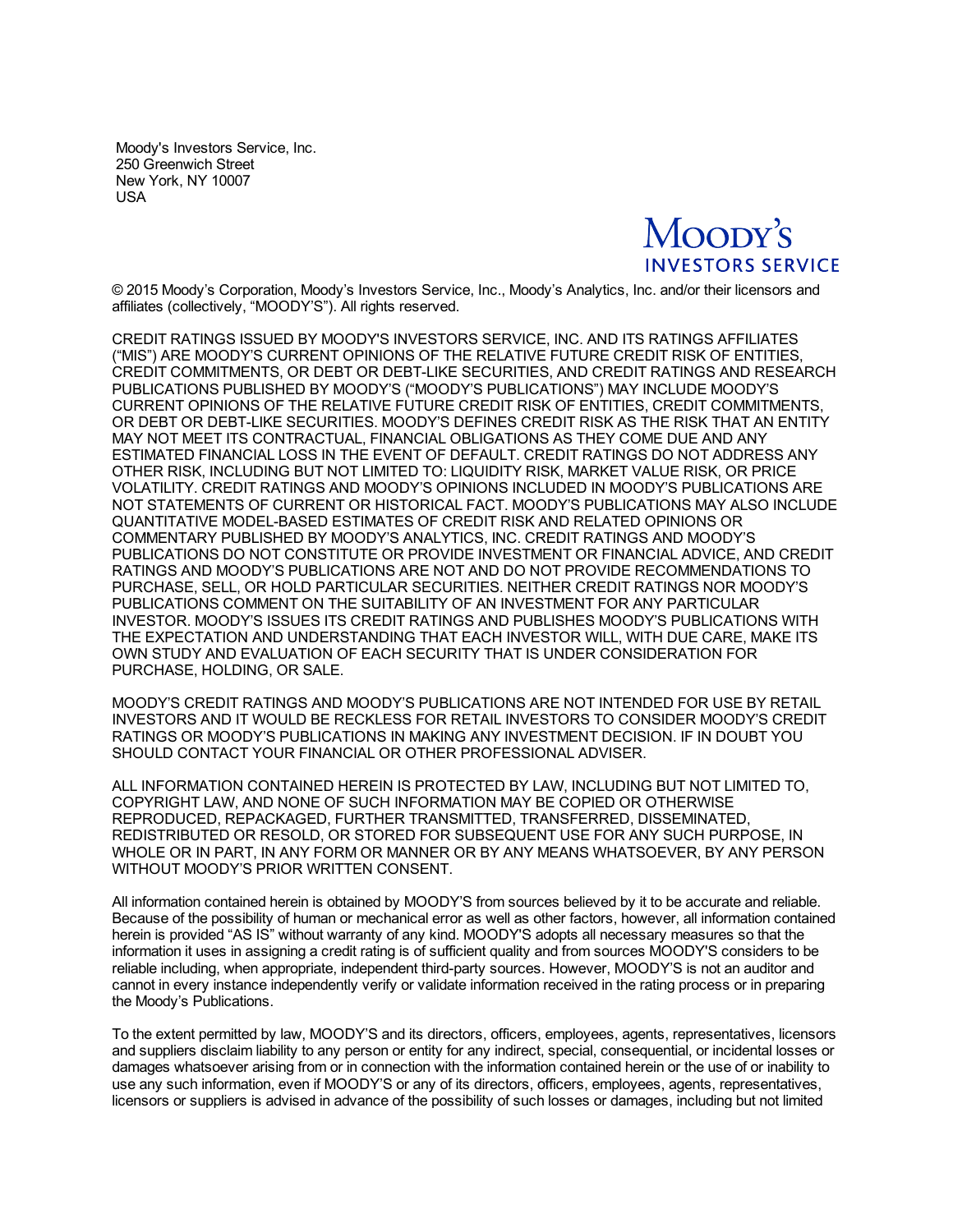Moody's Investors Service, Inc. 250 Greenwich Street New York, NY 10007 USA



© 2015 Moody's Corporation, Moody's Investors Service, Inc., Moody's Analytics, Inc. and/or their licensors and affiliates (collectively, "MOODY'S"). All rights reserved.

CREDIT RATINGS ISSUED BY MOODY'S INVESTORS SERVICE, INC. AND ITS RATINGS AFFILIATES ("MIS") ARE MOODY'S CURRENT OPINIONS OF THE RELATIVE FUTURE CREDIT RISK OF ENTITIES, CREDIT COMMITMENTS, OR DEBT OR DEBT-LIKE SECURITIES, AND CREDIT RATINGS AND RESEARCH PUBLICATIONS PUBLISHED BY MOODY'S ("MOODY'S PUBLICATIONS") MAY INCLUDE MOODY'S CURRENT OPINIONS OF THE RELATIVE FUTURE CREDIT RISK OF ENTITIES, CREDIT COMMITMENTS, OR DEBT OR DEBT-LIKE SECURITIES. MOODY'S DEFINES CREDIT RISK AS THE RISK THAT AN ENTITY MAY NOT MEET ITS CONTRACTUAL, FINANCIAL OBLIGATIONS AS THEY COME DUE AND ANY ESTIMATED FINANCIAL LOSS IN THE EVENT OF DEFAULT. CREDIT RATINGS DO NOT ADDRESS ANY OTHER RISK, INCLUDING BUT NOT LIMITED TO: LIQUIDITY RISK, MARKET VALUE RISK, OR PRICE VOLATILITY. CREDIT RATINGS AND MOODY'S OPINIONS INCLUDED IN MOODY'S PUBLICATIONS ARE NOT STATEMENTS OF CURRENT OR HISTORICAL FACT. MOODY'S PUBLICATIONS MAY ALSO INCLUDE QUANTITATIVE MODEL-BASED ESTIMATES OF CREDIT RISK AND RELATED OPINIONS OR COMMENTARY PUBLISHED BY MOODY'S ANALYTICS, INC. CREDIT RATINGS AND MOODY'S PUBLICATIONS DO NOT CONSTITUTE OR PROVIDE INVESTMENT OR FINANCIAL ADVICE, AND CREDIT RATINGS AND MOODY'S PUBLICATIONS ARE NOT AND DO NOT PROVIDE RECOMMENDATIONS TO PURCHASE, SELL, OR HOLD PARTICULAR SECURITIES. NEITHER CREDIT RATINGS NOR MOODY'S PUBLICATIONS COMMENT ON THE SUITABILITY OF AN INVESTMENT FOR ANY PARTICULAR INVESTOR. MOODY'S ISSUES ITS CREDIT RATINGS AND PUBLISHES MOODY'S PUBLICATIONS WITH THE EXPECTATION AND UNDERSTANDING THAT EACH INVESTOR WILL, WITH DUE CARE, MAKE ITS OWN STUDY AND EVALUATION OF EACH SECURITY THAT IS UNDER CONSIDERATION FOR PURCHASE, HOLDING, OR SALE.

MOODY'S CREDIT RATINGS AND MOODY'S PUBLICATIONS ARE NOT INTENDED FOR USE BY RETAIL INVESTORS AND IT WOULD BE RECKLESS FOR RETAIL INVESTORS TO CONSIDER MOODY'S CREDIT RATINGS OR MOODY'S PUBLICATIONS IN MAKING ANY INVESTMENT DECISION. IF IN DOUBT YOU SHOULD CONTACT YOUR FINANCIAL OR OTHER PROFESSIONAL ADVISER.

ALL INFORMATION CONTAINED HEREIN IS PROTECTED BY LAW, INCLUDING BUT NOT LIMITED TO, COPYRIGHT LAW, AND NONE OF SUCH INFORMATION MAY BE COPIED OR OTHERWISE REPRODUCED, REPACKAGED, FURTHER TRANSMITTED, TRANSFERRED, DISSEMINATED, REDISTRIBUTED OR RESOLD, OR STORED FOR SUBSEQUENT USE FOR ANY SUCH PURPOSE, IN WHOLE OR IN PART, IN ANY FORM OR MANNER OR BY ANY MEANS WHATSOEVER, BY ANY PERSON WITHOUT MOODY'S PRIOR WRITTEN CONSENT.

All information contained herein is obtained by MOODY'S from sources believed by it to be accurate and reliable. Because of the possibility of human or mechanical error as well as other factors, however, all information contained herein is provided "AS IS" without warranty of any kind. MOODY'S adopts all necessary measures so that the information it uses in assigning a credit rating is of sufficient quality and from sources MOODY'S considers to be reliable including, when appropriate, independent third-party sources. However, MOODY'S is not an auditor and cannot in every instance independently verify or validate information received in the rating process or in preparing the Moody's Publications.

To the extent permitted by law, MOODY'S and its directors, officers, employees, agents, representatives, licensors and suppliers disclaim liability to any person or entity for any indirect, special, consequential, or incidental losses or damages whatsoever arising from or in connection with the information contained herein or the use of or inability to use any such information, even if MOODY'S or any of its directors, officers, employees, agents, representatives, licensors or suppliers is advised in advance of the possibility of such losses or damages, including but not limited